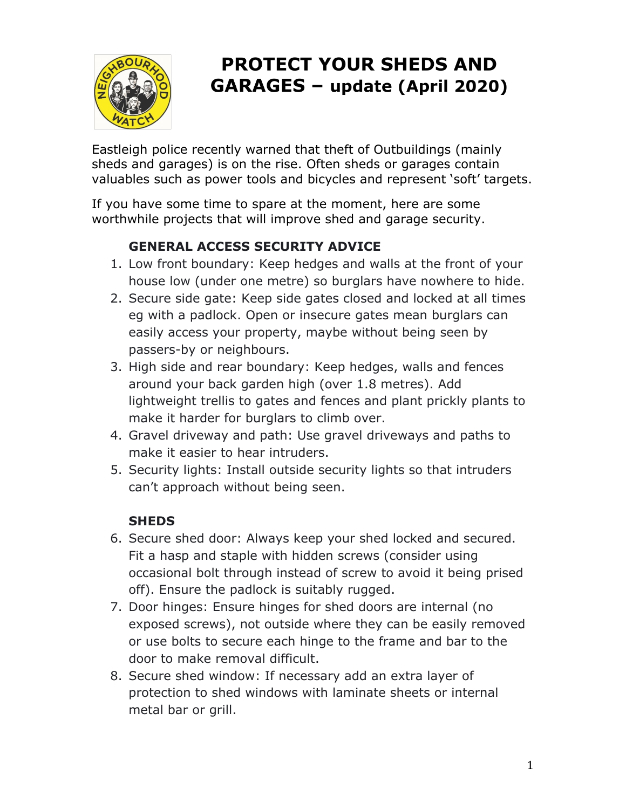

# **PROTECT YOUR SHEDS AND GARAGES - update (April 2020)**

Eastleigh police recently warned that theft of Outbuildings (mainly sheds and garages) is on the rise. Often sheds or garages contain valuables such as power tools and bicycles and represent 'soft' targets.

If you have some time to spare at the moment, here are some worthwhile projects that will improve shed and garage security.

## **GENERAL ACCESS SECURITY ADVICE**

- 1. Low front boundary: Keep hedges and walls at the front of your house low (under one metre) so burglars have nowhere to hide.
- 2. Secure side gate: Keep side gates closed and locked at all times eg with a padlock. Open or insecure gates mean burglars can easily access your property, maybe without being seen by passers-by or neighbours.
- 3. High side and rear boundary: Keep hedges, walls and fences around your back garden high (over 1.8 metres). Add lightweight trellis to gates and fences and plant prickly plants to make it harder for burglars to climb over.
- 4. Gravel driveway and path: Use gravel driveways and paths to make it easier to hear intruders.
- 5. Security lights: Install outside security lights so that intruders can't approach without being seen.

## **SHEDS**

- 6. Secure shed door: Always keep your shed locked and secured. Fit a hasp and staple with hidden screws (consider using occasional bolt through instead of screw to avoid it being prised off). Ensure the padlock is suitably rugged.
- 7. Door hinges: Ensure hinges for shed doors are internal (no exposed screws), not outside where they can be easily removed or use bolts to secure each hinge to the frame and bar to the door to make removal difficult.
- 8. Secure shed window: If necessary add an extra layer of protection to shed windows with laminate sheets or internal metal bar or grill.